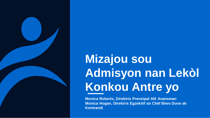

# **Mizajou sou Admisyon nan Lekòl Konkou Antre yo**

**Monica Roberts, Direktris Prensipal Afè Avansman Monica Hogan, Direktris Egzekitif an Chèf Biwo Done ak Kontrandi**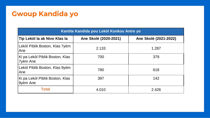# **Gwoup Kandida yo**

| Kantite Kandida pou Lekòl Konkou Antre yo          |                       |                       |  |  |  |  |  |
|----------------------------------------------------|-----------------------|-----------------------|--|--|--|--|--|
| Tip Lekòl la ak Nivo Klas la                       | Ane Skolè (2020-2021) | Ane Skolè (2021-2022) |  |  |  |  |  |
| Lekòl Piblik Boston, Klas 7yèm<br>Ane              | 2.133                 | 1.287                 |  |  |  |  |  |
| Ki pa Lekòl Piblik Boston, Klas<br><b>7yèm Ane</b> | 700                   | 379                   |  |  |  |  |  |
| Lekòl Piblik Boston, Klas 9yèm<br>Ane              | 780                   | 618                   |  |  |  |  |  |
| Ki pa Lekòl Piblik Boston, Klas<br>9yèm Ane        | 397                   | 142                   |  |  |  |  |  |
| <b>Total</b>                                       | 4.010                 | 2.426                 |  |  |  |  |  |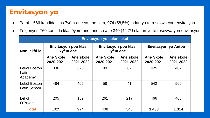## **Envitasyon yo**

- Pami 1.666 kandida klas 7yèm ane yo ane sa a, 974 (58,5%) ladan yo te resevwa yon envitasyon.
- Te genyen 760 kandida klas 9yèm ane, ane sa a, e 340 (44,7%) ladan yo te resevwa yon envitasyon.

| Envitasyon yo selon lekòl           |                        |                                 |                        |                                 |                        |                        |  |  |  |
|-------------------------------------|------------------------|---------------------------------|------------------------|---------------------------------|------------------------|------------------------|--|--|--|
| Non lekòl la                        |                        | Envitasyon pou klas<br>7yèm ane |                        | Envitasyon pou klas<br>9yèm ane | Envitasyon yo Antou    |                        |  |  |  |
|                                     | Ane Skolè<br>2020-2021 | Ane skolè<br>2021-2022          | Ane Skolè<br>2020-2021 | Ane skolè<br>2021-2022          | Ane Skolè<br>2020-2021 | Ane skolè<br>2021-2022 |  |  |  |
| Lekòl Boston<br>Latin<br>Academy    | 336                    | 320                             | 89                     | 82                              | 425                    | 402                    |  |  |  |
| Lekòl Boston<br><b>Latin School</b> | 484                    | 465                             | 58                     | 41                              | 542                    | 506                    |  |  |  |
| Lekòl<br>O'Bryant                   | 205                    | 189                             | 261                    | 217                             | 466                    | 406                    |  |  |  |
| <b>Total</b>                        | 1025                   | 974                             | 408                    | 340                             | 1.433                  | 1.314                  |  |  |  |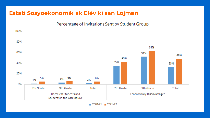## **Estati Sosyoekonomik ak Elèv ki san Lojman**

#### Percentage of Invitations Sent by Student Group

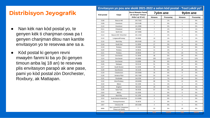## **Distribisyon Jeyografik**

- Nan kèk nan kòd postal yo, te genyen kèk ti chanjman oswa pa t genyen chanjman ditou nan kantite envitasyon yo te resevwa ane sa a.
- Kòd postal ki genyen revni mwayèn fanmi ki ba yo (ki genyen timoun anba laj 18 an) te resevwa plis envitasyon parapò ak ane pase, pami yo kòd postal zòn Dorchester, Roxbury, ak Mattapan.

| Kòd postal | Katye                                        | Revni Mwayèn Fanmi<br>(ki Genyen Timoun<br>Anba Laj 18 an) | 7yèm ane       |           | 9yèm ane                |           |
|------------|----------------------------------------------|------------------------------------------------------------|----------------|-----------|-------------------------|-----------|
|            |                                              |                                                            | Nimewo         | Pousantaj | Nimewo                  | Pousantaj |
| 2108       | Beacon Hill                                  | 245.781\$                                                  | 6              | 1%        | 1                       | 0%        |
| 2109       | Downtown                                     | 226.518\$                                                  | $\overline{2}$ | 0%        | 1                       | 0%        |
| 2110       | Downtown                                     | 191.099\$                                                  | $\mathbf{1}$   | 0%        | $\mathbf{1}$            | 0%        |
| 2111       | Chinatown                                    | 38.846\$                                                   | $\overline{7}$ | 1%        | $\overline{2}$          | 1%        |
| 2113       | North End                                    | 167.566\$                                                  | $\overline{2}$ | 0%        | $\mathbf{1}$            | 0%        |
| 2114       | Beacon Hill / West End                       | 191.131\$                                                  | $\overline{7}$ | 1%        | $\overline{\mathbf{c}}$ | 1%        |
| 2115       | Longwood/Fenway                              | 26.958\$                                                   | 10             | 1%        | 5                       | 1%        |
| 2116       | Back Bay                                     | 206.054\$                                                  | 13             | 1%        | $\overline{4}$          | 1%        |
| 2118       | South End                                    | 51.000\$                                                   | 27             | 3%        | 11                      | 3%        |
| 2119       | Roxbury                                      | 29.568\$                                                   | 50             | 5%        | 20                      | 6%        |
| 2120       | Roxbury                                      | 34.981\$                                                   | 11             | 1%        | $\overline{4}$          | 1%        |
| 2121       | Roxbury                                      | 28.964\$                                                   | 67             | 7%        | 23                      | 7%        |
| 2122       | Dorchester                                   | 51.354\$                                                   | 48             | 5%        | 20                      | 6%        |
| 2124       | Dorchester                                   | 45.906\$                                                   | 109            | 11%       | 42                      | 12%       |
| 2125       | Dorchester                                   | 53.828\$                                                   | 59             | 6%        | 20                      | 6%        |
| 2126       | Mattapan                                     | 50.011\$                                                   | 51             | 5%        | 27                      | 8%        |
| 2127       | South Boston                                 | 61.524\$                                                   | 35             | 4%        | 12                      | 4%        |
| 2128       | East Boston                                  | 40.313\$                                                   | 75             | 8%        | 28                      | 8%        |
| 2129       | Charlestown                                  | 150.000\$                                                  | 35             | 4%        | 9                       | 3%        |
| 2130       | Jamaica Plain                                | 105.750\$                                                  | 54             | 6%        | 17                      | 5%        |
| 2131       | Roslindale                                   | 84.670\$                                                   | 67             | 7%        | 18                      | 5%        |
| 2132       | West Roxbury                                 | 138.800\$                                                  | 69             | 7%        | 12                      | 4%        |
| 2134       | Allston                                      | 62.132\$                                                   | 11             | 1%        | 4                       | 1%        |
| 2135       | Brighton                                     | 98.013\$                                                   | 29             | 3%        | 10                      | 3%        |
| 2136       | Hyde Park                                    | 58.453\$                                                   | 67             | 7%        | 24                      | 7%        |
| 2163       | Allston                                      | 63.333\$                                                   | $\mathbf{1}$   | 0%        | 0                       | 0%        |
| 2199       | Back Bay                                     | 91.125\$                                                   | $\mathbf 0$    | 0%        | 0                       | 0%        |
| 2210       | South Boston Waterfront                      | 213.068\$                                                  | $\overline{2}$ | 0%        | $\mathbf{1}$            | 0%        |
| 2215       | Fenway/Kenmore                               | 78.487\$                                                   | $\overline{2}$ | 0%        | 1                       | 0%        |
| 2467       | Chestnut Hill                                | 195.539\$                                                  | $\overline{4}$ | 0%        | 0                       | 0%        |
| 9999       | San Lojman/DCF (Depatman<br>Timoun ak Fanmi) | $\star\star$                                               | 53             | 5%        | 20                      | 6%        |
|            | Total                                        |                                                            | 974            | 100%      | 340                     | 100%      |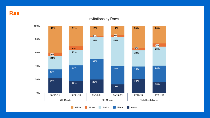**Ras**

#### Invitations by Race

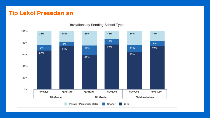## **Tip Lekòl Presedan an**



Invitations by Sending School Type